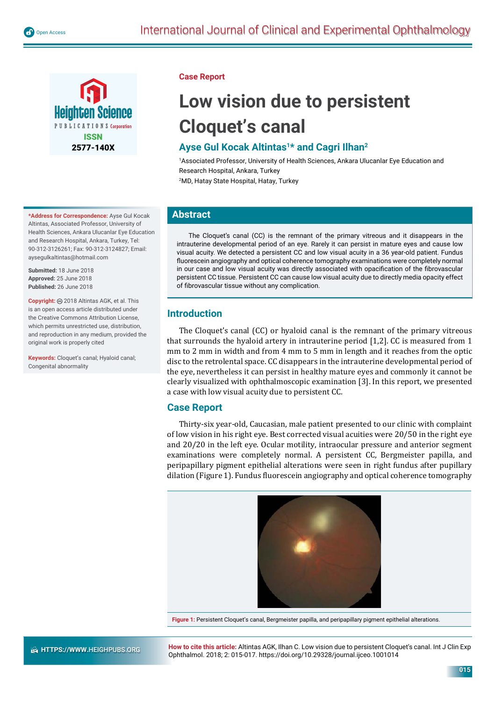



**\*Address for Correspondence:** Ayse Gul Kocak Altintas, Associated Professor, University of Health Sciences, Ankara Ulucanlar Eye Education and Research Hospital, Ankara, Turkey, Tel: 90-312-3126261; Fax: 90-312-3124827; Email: aysegulkaltintas@hotmail.com

**Submitted:** 18 June 2018 **Approved:** 25 June 2018 **Published:** 26 June 2018

**Copyright:** 2018 Altintas AGK, et al. This is an open access article distributed under the Creative Commons Attribution License, which permits unrestricted use, distribution, and reproduction in any medium, provided the original work is properly cited

**Keywords:** Cloquet's canal; Hyaloid canal; Congenital abnormality

### **Case Report**

# **Low vision due to persistent Cloquet's canal**

## **Ayse Gul Kocak Altintas1\* and Cagri Ilhan2**

1 Associated Professor, University of Health Sciences, Ankara Ulucanlar Eye Education and Research Hospital, Ankara, Turkey 2 MD, Hatay State Hospital, Hatay, Turkey

**Abstract**

The Cloquet's canal (CC) is the remnant of the primary vitreous and it disappears in the intrauterine developmental period of an eye. Rarely it can persist in mature eyes and cause low visual acuity. We detected a persistent CC and low visual acuity in a 36 year-old patient. Fundus fluorescein angiography and optical coherence tomography examinations were completely normal in our case and low visual acuity was directly associated with opacification of the fibrovascular persistent CC tissue. Persistent CC can cause low visual acuity due to directly media opacity effect of fibrovascular tissue without any complication.

## **Introduction**

The Cloquet's canal (CC) or hyaloid canal is the remnant of the primary vitreous that surrounds the hyaloid artery in intrauterine period [1,2]. CC is measured from 1 mm to 2 mm in width and from 4 mm to 5 mm in length and it reaches from the optic disc to the retrolental space. CC disappears in the intrauterine developmental period of the eye, nevertheless it can persist in healthy mature eyes and commonly it cannot be clearly visualized with ophthalmoscopic examination [3]. In this report, we presented a case with low visual acuity due to persistent CC.

## **Case Report**

Thirty-six year-old, Caucasian, male patient presented to our clinic with complaint of low vision in his right eye. Best corrected visual acuities were 20/50 in the right eye and 20/20 in the left eye. Ocular motility, intraocular pressure and anterior segment examinations were completely normal. A persistent CC, Bergmeister papilla, and peripapillary pigment epithelial alterations were seen in right fundus after pupillary dilation (Figure 1). Fundus ϐluorescein angiography and optical coherence tomography



**Figure 1:** Persistent Cloquet's canal, Bergmeister papilla, and peripapillary pigment epithelial alterations.

**How to cite this article:** Altintas AGK, Ilhan C. Low vision due to persistent Cloquet's canal. Int J Clin Exp Ophthalmol. 2018; 2: 015-017. https://doi.org/10.29328/journal.ijceo.1001014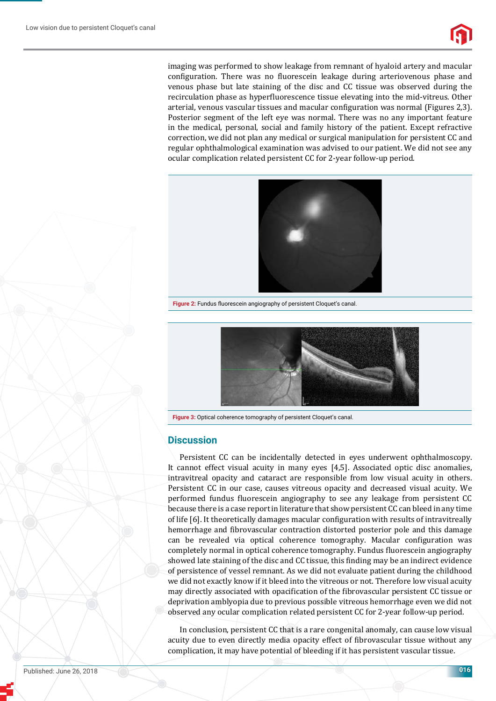imaging was performed to show leakage from remnant of hyaloid artery and macular configuration. There was no fluorescein leakage during arteriovenous phase and venous phase but late staining of the disc and CC tissue was observed during the recirculation phase as hyperfluorescence tissue elevating into the mid-vitreus. Other arterial, venous vascular tissues and macular configuration was normal (Figures 2.3). Posterior segment of the left eye was normal. There was no any important feature in the medical, personal, social and family history of the patient. Except refractive correction, we did not plan any medical or surgical manipulation for persistent CC and regular ophthalmological examination was advised to our patient. We did not see any ocular complication related persistent CC for 2-year follow-up period.



Figure 2: Fundus fluorescein angiography of persistent Cloquet's canal.



**Figure 3:** Optical coherence tomography of persistent Cloquet's canal.

#### **Discussion**

Persistent CC can be incidentally detected in eyes underwent ophthalmoscopy. It cannot effect visual acuity in many eyes [4,5]. Associated optic disc anomalies, intravitreal opacity and cataract are responsible from low visual acuity in others. Persistent CC in our case, causes vitreous opacity and decreased visual acuity. We performed fundus fluorescein angiography to see any leakage from persistent CC because there is a case report in literature that show persistent CC can bleed in any time of life [6]. It theoretically damages macular configuration with results of intravitreally hemorrhage and fibrovascular contraction distorted posterior pole and this damage can be revealed via optical coherence tomography. Macular configuration was completely normal in optical coherence tomography. Fundus fluorescein angiography showed late staining of the disc and CC tissue, this finding may be an indirect evidence of persistence of vessel remnant. As we did not evaluate patient during the childhood we did not exactly know if it bleed into the vitreous or not. Therefore low visual acuity may directly associated with opacification of the fibrovascular persistent CC tissue or deprivation amblyopia due to previous possible vitreous hemorrhage even we did not observed any ocular complication related persistent CC for 2-year follow-up period.

In conclusion, persistent CC that is a rare congenital anomaly, can cause low visual acuity due to even directly media opacity effect of fibrovascular tissue without any complication, it may have potential of bleeding if it has persistent vascular tissue.